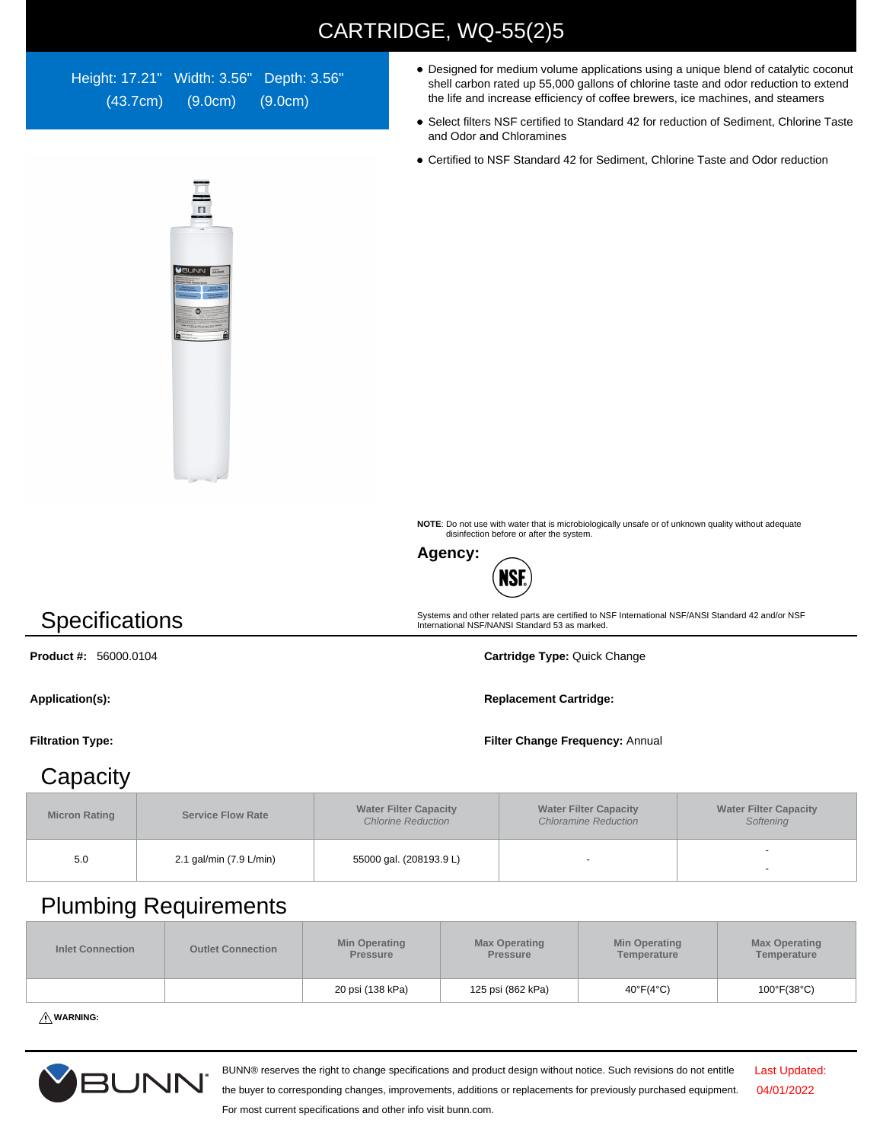## CARTRIDGE, WQ-55(2)5

Height: 17.21" Width: 3.56" Depth: 3.56" (43.7cm) (9.0cm) (9.0cm)

- Designed for medium volume applications using a unique blend of catalytic coconut shell carbon rated up 55,000 gallons of chlorine taste and odor reduction to extend the life and increase efficiency of coffee brewers, ice machines, and steamers
- Select filters NSF certified to Standard 42 for reduction of Sediment, Chlorine Taste and Odor and Chloramines
- Certified to NSF Standard 42 for Sediment, Chlorine Taste and Odor reduction



**NOTE**: Do not use with water that is microbiologically unsafe or of unknown quality without adequate disinfection before or after the system.

Systems and other related parts are certified to NSF International NSF/ANSI Standard 42 and/or NSF International NSF/NANSI Standard 53 as marked.



# **Specifications**

**Product #:** 56000.0104 **Cartridge Type:** Quick Change

Application(s): **Replacement Cartridge: Replacement Cartridge: Replacement Cartridge:** 

#### **Filtration Type: Filter Change Frequency:** Annual

### **Capacity**

| <b>Micron Rating</b> | <b>Service Flow Rate</b> | <b>Water Filter Capacity</b><br><b>Chlorine Reduction</b> | <b>Water Filter Capacity</b><br><b>Chloramine Reduction</b> | <b>Water Filter Capacity</b><br>Softening |  |
|----------------------|--------------------------|-----------------------------------------------------------|-------------------------------------------------------------|-------------------------------------------|--|
| 5.0                  | 2.1 gal/min (7.9 L/min)  | 55000 gal. (208193.9 L)                                   | $\overline{\phantom{0}}$                                    |                                           |  |

## Plumbing Requirements

| <b>Inlet Connection</b> | <b>Outlet Connection</b> | <b>Min Operating</b><br><b>Pressure</b> | <b>Max Operating</b><br><b>Pressure</b> | <b>Min Operating</b><br>Temperature | <b>Max Operating</b><br>Temperature |
|-------------------------|--------------------------|-----------------------------------------|-----------------------------------------|-------------------------------------|-------------------------------------|
|                         |                          | 20 psi (138 kPa)                        | 125 psi (862 kPa)                       | $40^{\circ}F(4^{\circ}C)$           | $100^{\circ}$ F(38 $^{\circ}$ C)    |

**WARNING:**



BUNN® reserves the right to change specifications and product design without notice. Such revisions do not entitle

Last Updated: 04/01/2022

the buyer to corresponding changes, improvements, additions or replacements for previously purchased equipment. For most current specifications and other info visit bunn.com.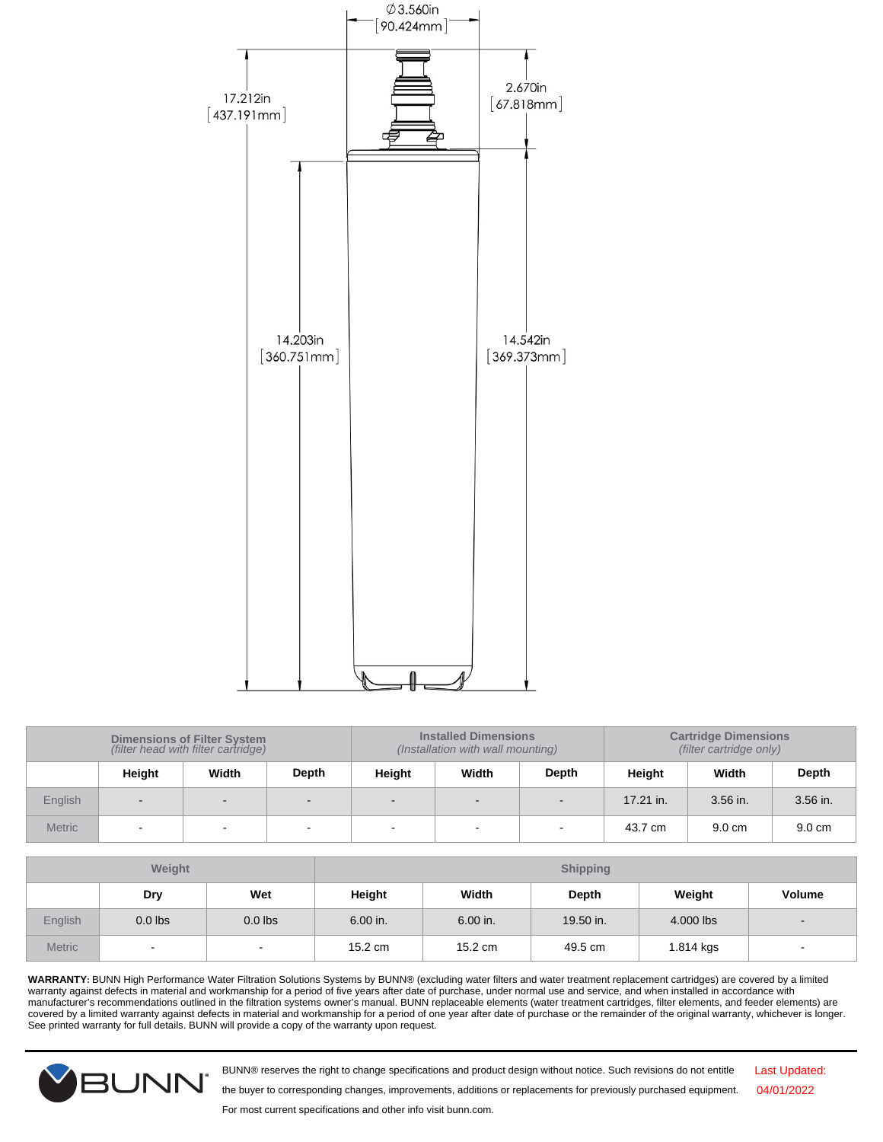

| <b>Dimensions of Filter System</b><br>(filter head with filter cartridge) |                |             |        | <b>Installed Dimensions</b><br>(Installation with wall mounting) |        | <b>Cartridge Dimensions</b><br>(filter cartridge only) |             |                  |          |
|---------------------------------------------------------------------------|----------------|-------------|--------|------------------------------------------------------------------|--------|--------------------------------------------------------|-------------|------------------|----------|
|                                                                           | Height         | Width       | Depth  | Height                                                           | Width  | Depth                                                  | Height      | Width            | Depth    |
| English                                                                   | $\blacksquare$ |             |        |                                                                  |        | $\overline{\phantom{0}}$                               | $17.21$ in. | 3.56 in.         | 3.56 in. |
| <b>Metric</b>                                                             | $\blacksquare$ | $\,$ – $\,$ | $\sim$ | $\sim$                                                           | $\sim$ | $\overline{\phantom{a}}$                               | 43.7 cm     | $9.0 \text{ cm}$ | 9.0 cm   |

| Weight        |           |           |                   |          | <b>Shipping</b> |           |                          |
|---------------|-----------|-----------|-------------------|----------|-----------------|-----------|--------------------------|
|               | Dry       | Wet       | Height            | Width    | Depth           | Weight    | <b>Volume</b>            |
| English       | $0.0$ lbs | $0.0$ lbs | 6.00 in.          | 6.00 in. | 19.50 in.       | 4.000 lbs | $\overline{\phantom{a}}$ |
| <b>Metric</b> | $\sim$    | $\sim$    | $15.2 \text{ cm}$ | 15.2 cm  | 49.5 cm         | 1.814 kgs | ٠                        |

WARRANTY: BUNN High Performance Water Filtration Solutions Systems by BUNN® (excluding water filters and water treatment replacement cartridges) are covered by a limited<br>manufacturer's recommendations outlined in the filt See printed warranty for full details. BUNN will provide a copy of the warranty upon request.



BUNN® reserves the right to change specifications and product design without notice. Such revisions do not entitle

Last Updated: 04/01/2022

the buyer to corresponding changes, improvements, additions or replacements for previously purchased equipment.

For most current specifications and other info visit bunn.com.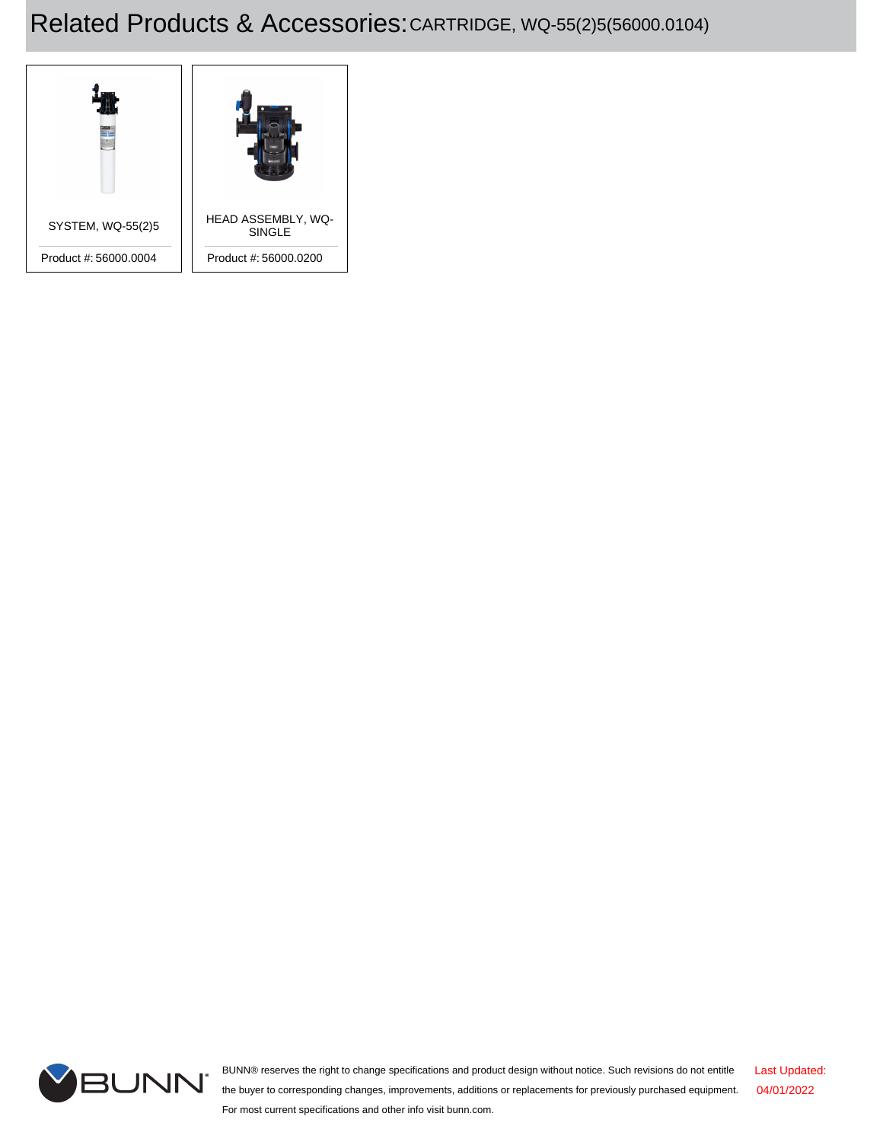# Related Products & Accessories:CARTRIDGE, WQ-55(2)5(56000.0104)





BUNN® reserves the right to change specifications and product design without notice. Such revisions do not entitle the buyer to corresponding changes, improvements, additions or replacements for previously purchased equipment. For most current specifications and other info visit bunn.com. Last Updated: 04/01/2022